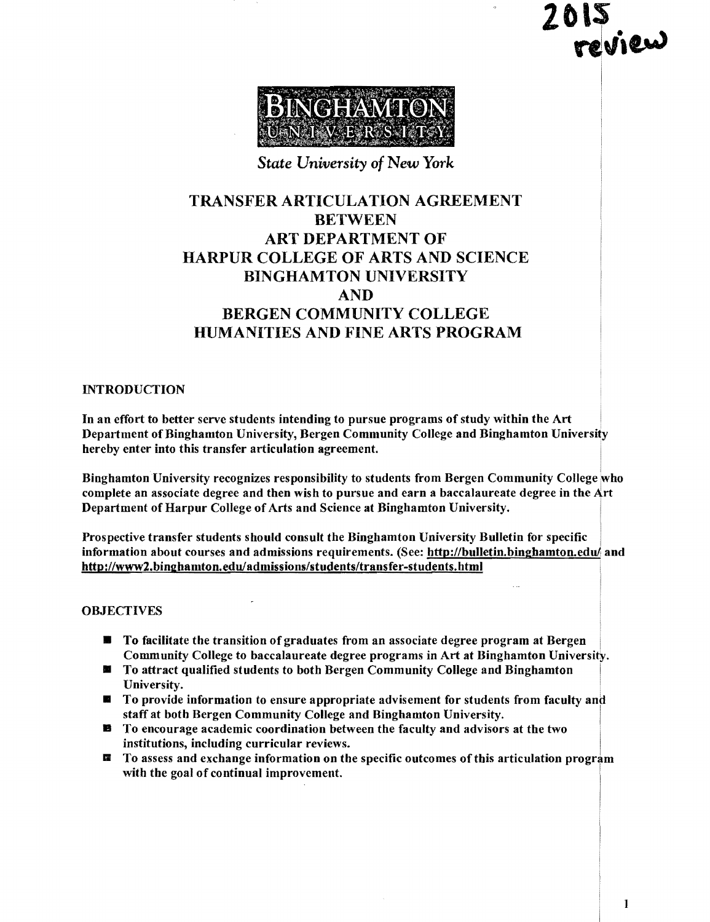**2blS**   $\sim$   $\sim$   $\sim$ 

 $\mathbb{I}$ 



### *State University of New York*

# TRANSFER ARTICULATION AGREEMENT BETWEEN ART DEPARTMENT OF HARPUR COLLEGE OF ARTS AND SCIENCE BINGHAMTON UNIVERSITY AND BERGEN COMMUNITY COLLEGE HUMANITIES AND FINE ARTS PROGRAM

### INTRODUCTION

In an effort to better serve students intending to pursue programs of study within the Art Department of Binghamton University, Bergen Community College and Binghamton University hereby enter into this transfer articulation agreement.

Binghamton University recognizes responsibility to students from Bergen Community College who complete an associate degree and then wish to pursue and earn a baccalaureate degree in the Art Department of Harpur College of Arts and Science at Binghamton University.

Prospective transfer students should consult the Binghamton University Bulletin for specific information about courses and admissions requirements. (See: http://bulletin.binghamton.edu/ and http://www2.bingbamton.eduladmissions/students/transfer-students.html

### **OBJECTIVES**

- **To facilitate the transition of graduates from an associate degree program at Bergen** Community College to baccalaureate degree programs in Art at Binghamton University.
- **EXECUTE:** To attract qualified students to both Bergen Community College and Binghamton University.
- $\blacksquare$  To provide information to ensure appropriate advisement for students from faculty and staff at both Bergen Community College and Binghamton University.
- $\blacksquare$  To encourage academic coordination between the faculty and advisors at the two institutions, including curricular reviews.
- $\blacksquare$  To assess and exchange information on the specific outcomes of this articulation program with the goal of continual improvement.

1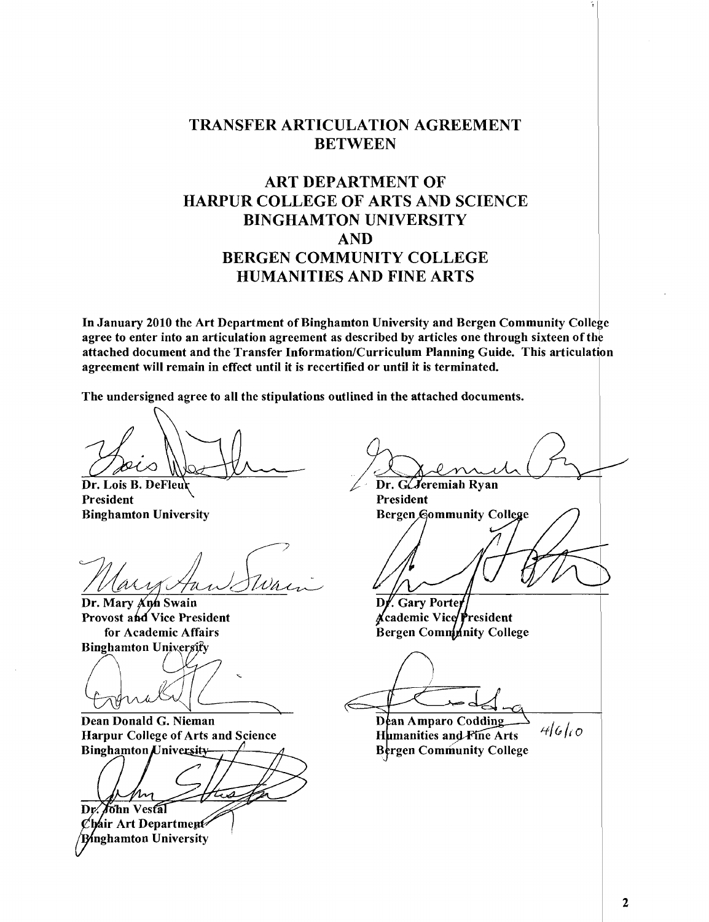### TRANSFER ARTICULATION AGREEMENT BETWEEN

# ART DEPARTMENT OF HARPUR COLLEGE OF ARTS AND SCIENCE BINGHAMTON UNIVERSITY AND BERGEN COMMUNITY COLLEGE HUMANITIES AND FINE ARTS

In January 2010 the Art Department of Binghamton University and Bergen Community College agree to enter into an articulation agreement as described by articles one through sixteen of the attached document and the Transfer Information/Curriculum Planning Guide. This articulation agreement will remain in effect until it is recertified or until it is terminated.

The undersigned agree to all the stipulations outlined in the attached documents.

Dr. Lois B. DeFleur President President President

Dr. Mary Ann Swain Provost and Vice President for Academic Affairs

Binghamton University  $\left( \begin{array}{cc} \end{array} \right)$  :  $\frac{1}{2}$   $\left( \begin{array}{cc} \end{array} \right)$ For Academic Analys<br>
Binghamton University<br>
Conclude G. Nieman<br>
Dean Donald G. Nieman  $\rightarrow$ 

Dean Donald G. Nieman Harpur College of Arts and Science **Binghamton** University-

Dr. John Vestal

 $\mathcal C$ hair Art Department **B**inghamton University

I Branch Pr

Binghamton University . The example of the Bergen Gommunity College

**Gary Porter** ∦cademic Vice President **Bergen Commnnity College** 

 $~\odot$   $~\odot$   $~\odot$   $~\odot$   $~\odot$   $~\odot$   $~\odot$   $~\odot$   $~\odot$   $~\odot$   $~\odot$   $~\odot$   $~\odot$   $~\odot$   $~\odot$   $~\odot$   $~\odot$   $~\odot$   $~\odot$   $~\odot$   $~\odot$   $~\odot$   $~\odot$   $~\odot$   $~\odot$   $~\odot$   $~\odot$   $~\odot$   $~\odot$   $~\odot$   $~\odot$   $~\od$ 

Bergen Community College Dean Amparo Codding Humanities and Pine Arts

 $46ko$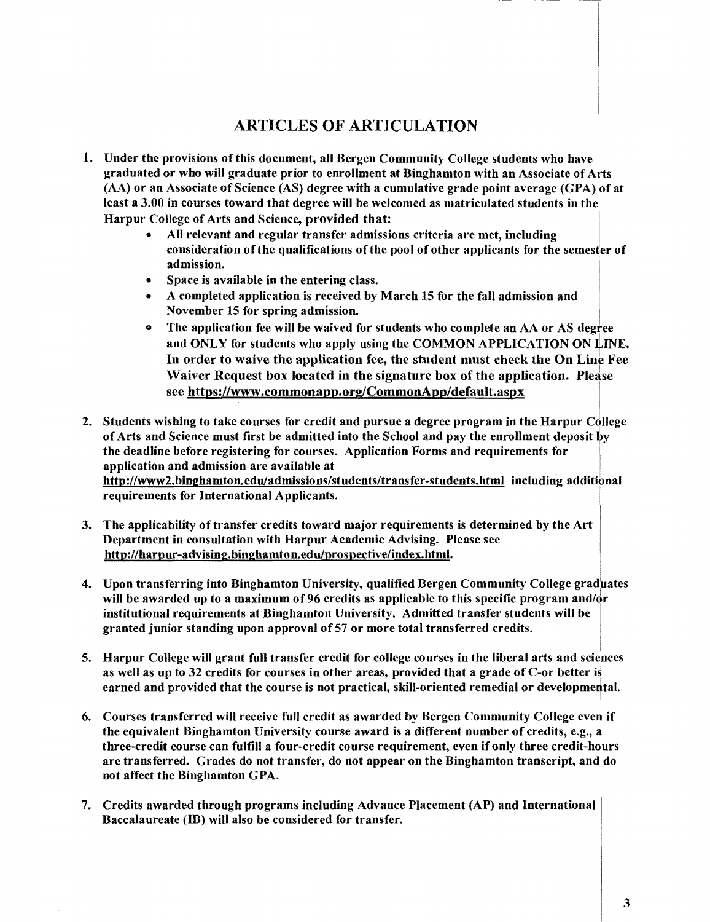# ARTICLES OF ARTICULATION

- 1. Under the provisions of this document, all Bergen Community College students who have graduated or who will graduate prior to enrollment at Binghamton with an Associate of Arts (AA) or an Associate of Science (AS) degree with a cumulative grade point average (GPA) of at least a 3.00 in courses toward that degree will be welcomed as matriculated students in the Harpur College of Arts and Science, provided that:
	- All relevant and regular transfer admissions criteria are met, including consideration of the qualifications of the pool of other applicants for the semester of admission.
	- Space is available in the entering class.
	- A completed application is received by March 15 for the fall admission and November 15 for spring admission.
	- The application fee will be waived for students who complete an AA or AS degree and ONLY for students who apply using the COMMON APPLICATION ON LINE. In order to waive the application fee, the student must check the On Line Fee Waiver Request box located in the signature box of the application. Please see https://www.commonapp.org/CommonApp/default.aspx
- 2. Students wishing to take courses for credit and pursue a degree program in the Harpur College ofArts and Science must first be admitted into the School and pay the enrollment deposit by the deadline before registering for courses. Application Forms and requirements for application and admission are available at http://www2.binghamton.edu/admissions/students/transfer-students.html including additional requirements for International Applicants.
- 3. The applicability of transfer credits toward major requirements is determined by the Art Department in consultation with Harpur Academic Advising. Please see http://harpur-advising.binghamton.edulprospective/index.html.
- 4. Upon transferring into Binghamton University, qualified Bergen Community College graduates will be awarded up to a maximum of 96 credits as applicable to this specific program and/ $\sigma$ r institutional requirements at Binghamton University. Admitted transfer students will be . granted junior standing upon approval of 57 or more total transferred credits.
- 5. Harpur College will grant full transfer credit for college courses in the liberal arts and sciences as well as up to  $32$  credits for courses in other areas, provided that a grade of C-or better is earned and provided that the course is not practical, skill-oriented remedial or developmental.
- 6. Courses transferred will receive full credit as awarded by Bergen Community College even if the equivalent Binghamton University course award is a different number of credits, e.g.,  $\dot{a}$ three-credit course can fulfill a four-credit course requirement, even if only three credit-hours are transferred. Grades do not transfer, do not appear on the Binghamton transcript, and do not affect the Binghamton GPA.
- 7. Credits awarded through programs including Advance Placement (AP) and International Baccalaureate (IB) will also be considered for transfer.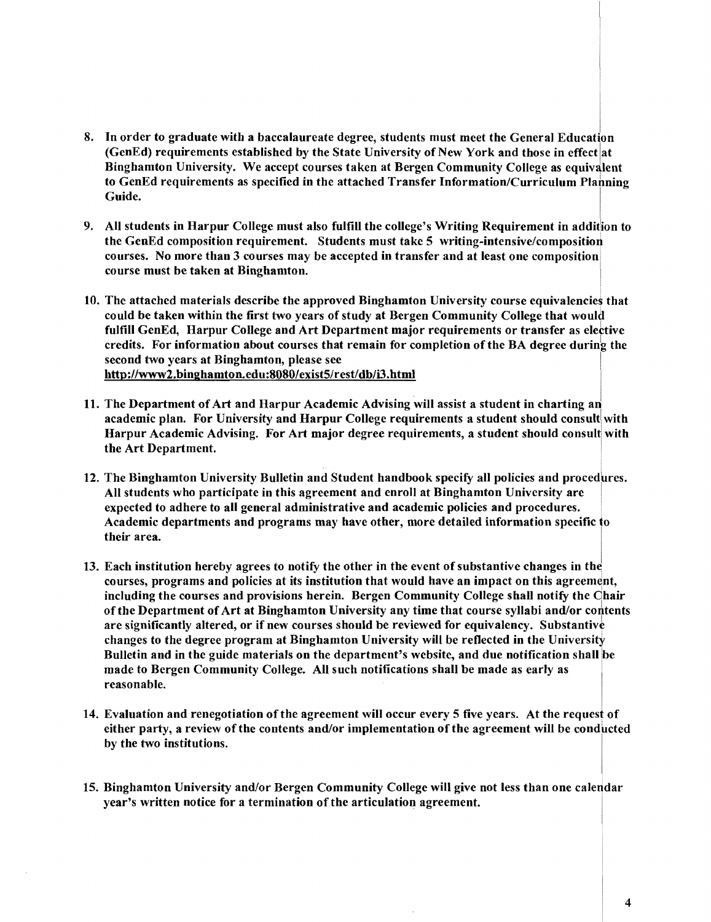- 8. In order to graduate with a baccalaureate degree, students must meet the General Education (GenEd) requirements established by the State University of New York and those in effect at Binghamton University. We accept courses taken at Bergen Community College as equivalent to GenEd requirements as specified in the attached Transfer Information/Curriculum Plabning Guide.
- 9. All students in Harpur College must also fulfill the college's Writing Requirement in addition to the GenEd composition requirement. Students must take 5 writing-intensive/composition courses. No more than 3 courses may be accepted in transfer and at least one composition course must be taken at Binghamton.
- 10. The attached materials describe the approved Binghamton University course equivalencies that could be taken within the first two years of study at Bergen Community College that would fulfill GenEd, Harpur College and Art Department major requirements or transfer as elective credits. For information about courses that remain for completion of the BA degree during the second two years at Binghamton, please see http://www2.binghamton.edu:8080/exist5/rest/db/i3.html
- 11. The Department of Art and Harpur Academic Advising will assist a student in charting an academic plan. For University and Harpur College requirements a student should consult with Harpur Academic Advising. For Art major degree requirements, a student should consult with the Art Department. .
- 12. The Binghamton University Bulletin and Student handbook specify all policies and procedures. All students who participate in this agreement and enroll at Binghamton University are expected to adhere to all general administrative and academic policies and procedures. Academic departments and programs may have other, more detailed information specific to their area.
- 13. Each institution hereby agrees to notify the other in the event of substantive changes in the courses, programs and policies at its institution that would have an impact on this agreement, including the courses and provisions herein. Bergen Community College shall notify the Ohair ofthe Department of Art at Binghamton University any time that course syllabi and/or coritents are significantly altered, or if new courses should be reviewed for equivalency. Substantive changes to the degree program at Binghamton University will be reflected in the University Bulletin and in the guide materials on the department's website, and due notification shall be made to Bergen Community College. All such notifications shall be made as early as reasonable.
- 14. Evaluation and renegotiation of the agreement will occur every 5 five years. At the request of either party, a review of the contents and/or implementation of the agreement will be conducted by the two institutions.
- 15. Binghamton University and/or Bergen Community College will give not less than one calendar year's written notice for a termination of the articulation agreement.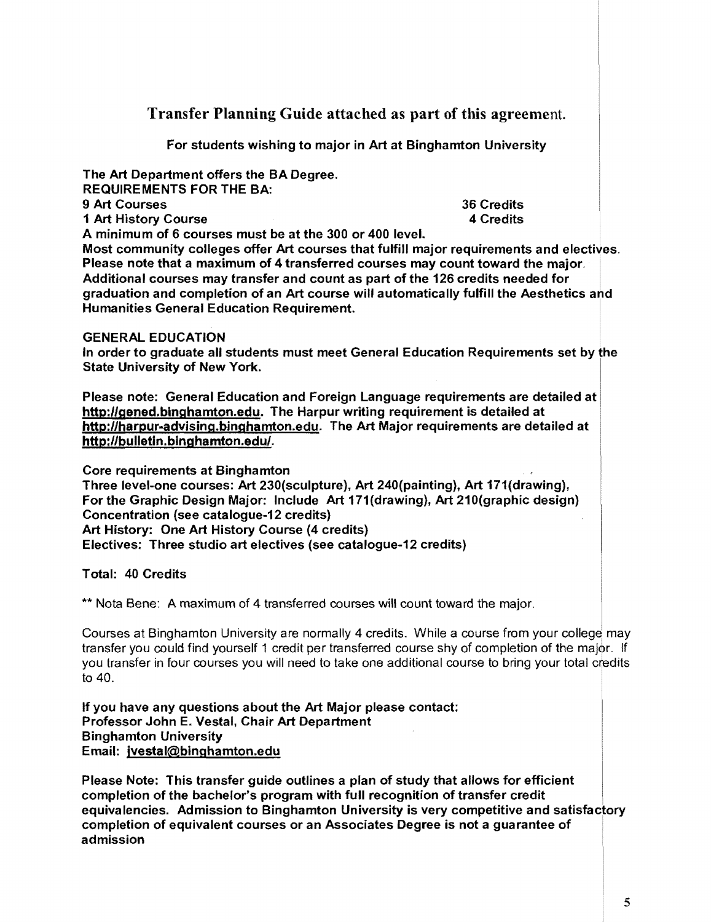Transfer Planning Guide attached as part of this agreement.

For students wishing to major in Art at Binghamton University

The Art Department offers the BA Degree. REQUIREMENTS FOR THE BA: 9 Art Courses 36 Credits<br>1 Art History Course 36 Credits<br>1 Art History Course 1 Art History Course

A minimum of 6 courses must be at the 300 or 400 level.

Most community colleges offer Art courses that fulfill major requirements and electives. Please note that a maximum of 4 transferred courses may count toward the major. Additional courses may transfer and count as part of the 126 credits needed for graduation and completion of an Art course will automatically fulfill the Aesthetics and Humanities General Education Requirement. \

### GENERAL EDUCATION

In order to graduate all students must meet General Education Requirements set by the State University of New York.

Please note: General Education and Foreign Language requirements are detailed at http://gened.binghamton.edu. The Harpur writing requirement is detailed at http://harpur-advising.binghamton.edu. The Art Major requirements are detailed at http://bulletin.binghamton.edu/.

Core requirements at Binghamton

Three level-one courses: Art 230(sculpture), Art 240(painting), Art 171(drawing}, For the Graphic Design Major: Include Art 171(drawing}, Art 210(graphic design} Concentration (see catalogue-12 credits) Art History: One Art History Course (4 credits) Electives: Three studio art electives (see catalogue-12 credits)

Total: 40 Credits

\*\* Nota Bene: A maximum of 4 transferred courses will count toward the major.

Courses at Binghamton University are normally 4 credits. While a course from your college may transfer you could find yourself 1 credit per transferred course shy of completion of the majbr. If you transfer in four courses you will need to take one additional course to bring your total credits to 40.

If you have any questions about the Art Major please contact: Professor John E. Vestal, Chair Art Department Binghamton University Email: jvestal@binghamton.edu

Please Note: This transfer guide outlines a plan of study that allows for efficient completion of the bachelor's program with full recognition of transfer credit equivalencies. Admission to Binghamton University is very competitive and satisfactory completion of equivalent courses or an Associates Degree is not a guarantee of ' admission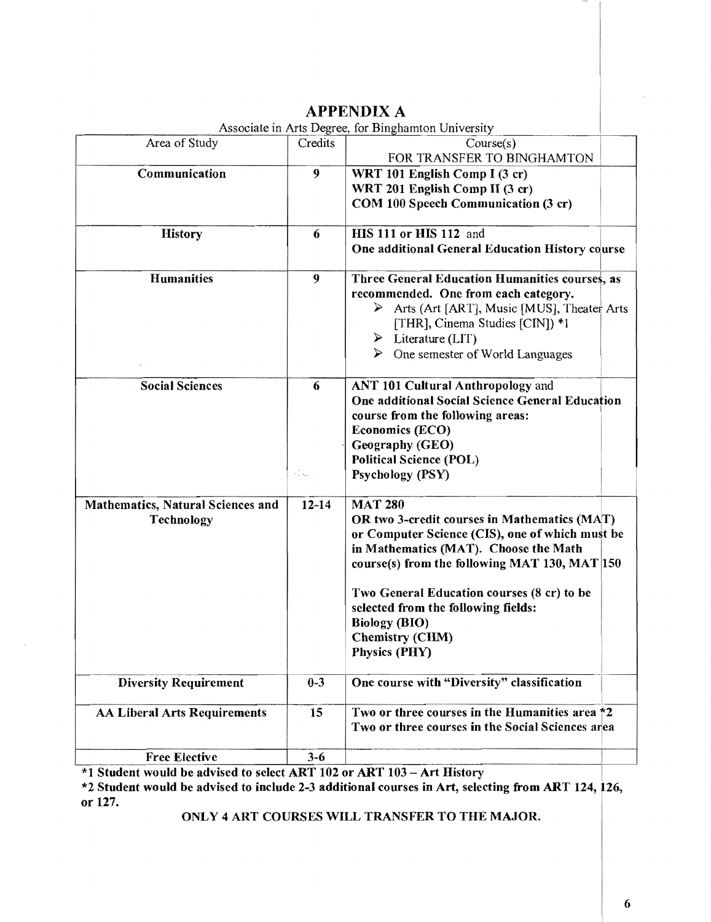| Associate in Arts Degree, for Binghamton University    |                                   |                                                                                                                                                                                                                                                                                                                                                                     |  |
|--------------------------------------------------------|-----------------------------------|---------------------------------------------------------------------------------------------------------------------------------------------------------------------------------------------------------------------------------------------------------------------------------------------------------------------------------------------------------------------|--|
| Area of Study                                          | Credits                           | Course(s)<br>FOR TRANSFER TO BINGHAMTON                                                                                                                                                                                                                                                                                                                             |  |
| Communication                                          | 9                                 | WRT 101 English Comp I (3 cr)<br>WRT 201 English Comp II (3 cr)<br>COM 100 Speech Communication (3 cr)                                                                                                                                                                                                                                                              |  |
| <b>History</b>                                         | 6                                 | HIS 111 or HIS 112 and<br>One additional General Education History course                                                                                                                                                                                                                                                                                           |  |
| <b>Humanities</b>                                      | 9                                 | Three General Education Humanities courses, as<br>recommended. One from each category.<br>Arts (Art [ART], Music [MUS], Theater Arts<br>⋗<br>[THR], Cinema Studies [CIN]) *1<br>$\triangleright$ Literature (LIT)<br>$\triangleright$<br>One semester of World Languages                                                                                            |  |
| <b>Social Sciences</b>                                 | 6<br>$\epsilon_{\rm max}^{\rm N}$ | ANT 101 Cultural Anthropology and<br>One additional Social Science General Education<br>course from the following areas:<br><b>Economics (ECO)</b><br>Geography (GEO)<br><b>Political Science (POL)</b><br>Psychology (PSY)                                                                                                                                         |  |
| <b>Mathematics, Natural Sciences and</b><br>Technology | $12 - 14$                         | <b>MAT 280</b><br>OR two 3-credit courses in Mathematics (MAT)<br>or Computer Science (CIS), one of which must be<br>in Mathematics (MAT). Choose the Math<br>course(s) from the following MAT 130, MAT 150<br>Two General Education courses (8 cr) to be<br>selected from the following fields:<br><b>Biology (BIO)</b><br><b>Chemistry (CHM)</b><br>Physics (PHY) |  |
| <b>Diversity Requirement</b>                           | $0 - 3$                           | One course with "Diversity" classification                                                                                                                                                                                                                                                                                                                          |  |
| <b>AA Liberal Arts Requirements</b>                    | 15                                | Two or three courses in the Humanities area *2<br>Two or three courses in the Social Sciences area                                                                                                                                                                                                                                                                  |  |
| <b>Free Elective</b>                                   | $3 - 6$                           |                                                                                                                                                                                                                                                                                                                                                                     |  |
|                                                        |                                   |                                                                                                                                                                                                                                                                                                                                                                     |  |

## APPENDIX A

\*1 Student would be advised to select ART 102 or ART 103 - Art History •

\*2 Student would be advised to include 2-3 additional courses in Art, selecting from ART 124, 126, or 127.

ONLY 4 ART COURSES WILL TRANSFER TO THE MAJOR.